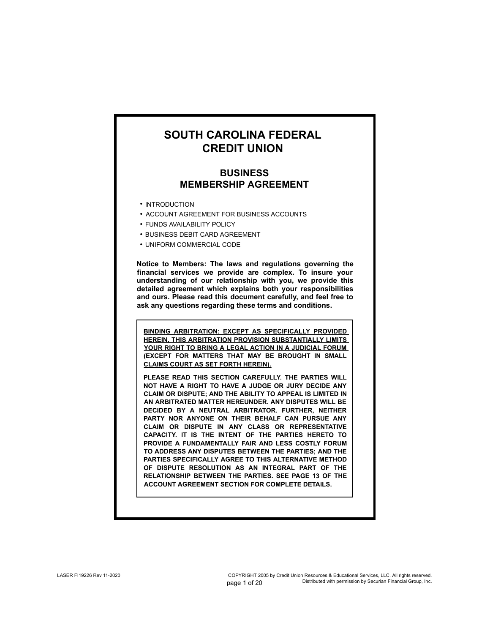# **SOUTH CAROLINA FEDERAL CREDIT UNION**

# **BUSINESS MEMBERSHIP AGREEMENT**

- INTRODUCTION
- **ACCOUNT AGREEMENT FOR BUSINESS ACCOUNTS**
- **FUNDS AVAILABILITY POLICY**
- **BUSINESS DEBIT CARD AGREEMENT**
- UNIFORM COMMERCIAL CODE •

**Notice to Members: The laws and regulations governing the financial services we provide are complex. To insure your understanding of our relationship with you, we provide this detailed agreement which explains both your responsibilities and ours. Please read this document carefully, and feel free to ask any questions regarding these terms and conditions.**

**BINDING ARBITRATION: EXCEPT AS SPECIFICALLY PROVIDED HEREIN, THIS ARBITRATION PROVISION SUBSTANTIALLY LIMITS**  YOUR RIGHT TO BRING A LEGAL ACTION IN A JUDICIAL FORUM **(EXCEPT FOR MATTERS THAT MAY BE BROUGHT IN SMALL CLAIMS COURT AS SET FORTH HEREIN).**

**PLEASE READ THIS SECTION CAREFULLY. THE PARTIES WILL NOT HAVE A RIGHT TO HAVE A JUDGE OR JURY DECIDE ANY CLAIM OR DISPUTE; AND THE ABILITY TO APPEAL IS LIMITED IN AN ARBITRATED MATTER HEREUNDER. ANY DISPUTES WILL BE DECIDED BY A NEUTRAL ARBITRATOR. FURTHER, NEITHER PARTY NOR ANYONE ON THEIR BEHALF CAN PURSUE ANY CLAIM OR DISPUTE IN ANY CLASS OR REPRESENTATIVE CAPACITY. IT IS THE INTENT OF THE PARTIES HERETO TO PROVIDE A FUNDAMENTALLY FAIR AND LESS COSTLY FORUM TO ADDRESS ANY DISPUTES BETWEEN THE PARTIES; AND THE PARTIES SPECIFICALLY AGREE TO THIS ALTERNATIVE METHOD OF DISPUTE RESOLUTION AS AN INTEGRAL PART OF THE RELATIONSHIP BETWEEN THE PARTIES. SEE PAGE 13 OF THE ACCOUNT AGREEMENT SECTION FOR COMPLETE DETAILS.**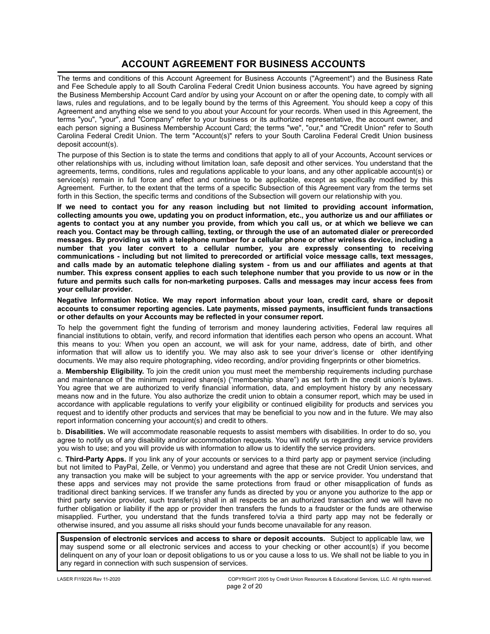# **ACCOUNT AGREEMENT FOR BUSINESS ACCOUNTS**

The terms and conditions of this Account Agreement for Business Accounts ("Agreement") and the Business Rate and Fee Schedule apply to all South Carolina Federal Credit Union business accounts. You have agreed by signing the Business Membership Account Card and/or by using your Account on or after the opening date, to comply with all laws, rules and regulations, and to be legally bound by the terms of this Agreement. You should keep a copy of this Agreement and anything else we send to you about your Account for your records. When used in this Agreement, the terms "you", "your", and "Company" refer to your business or its authorized representative, the account owner, and each person signing a Business Membership Account Card; the terms "we", "our," and "Credit Union" refer to South Carolina Federal Credit Union. The term "Account(s)" refers to your South Carolina Federal Credit Union business deposit account(s).

The purpose of this Section is to state the terms and conditions that apply to all of your Accounts, Account services or other relationships with us, including without limitation loan, safe deposit and other services. You understand that the agreements, terms, conditions, rules and regulations applicable to your loans, and any other applicable account(s) or service(s) remain in full force and effect and continue to be applicable, except as specifically modified by this Agreement. Further, to the extent that the terms of a specific Subsection of this Agreement vary from the terms set forth in this Section, the specific terms and conditions of the Subsection will govern our relationship with you.

**If we need to contact you for any reason including but not limited to providing account information, collecting amounts you owe, updating you on product information, etc., you authorize us and our affiliates or agents to contact you at any number you provide, from which you call us, or at which we believe we can reach you. Contact may be through calling, texting, or through the use of an automated dialer or prerecorded messages. By providing us with a telephone number for a cellular phone or other wireless device, including a number that you later convert to a cellular number, you are expressly consenting to receiving communications - including but not limited to prerecorded or artificial voice message calls, text messages, and calls made by an automatic telephone dialing system - from us and our affiliates and agents at that number. This express consent applies to each such telephone number that you provide to us now or in the future and permits such calls for non-marketing purposes. Calls and messages may incur access fees from your cellular provider.**

**Negative Information Notice. We may report information about your loan, credit card, share or deposit accounts to consumer reporting agencies. Late payments, missed payments, insufficient funds transactions or other defaults on your Accounts may be reflected in your consumer report.**

To help the government fight the funding of terrorism and money laundering activities, Federal law requires all financial institutions to obtain, verify, and record information that identifies each person who opens an account. What this means to you: When you open an account, we will ask for your name, address, date of birth, and other information that will allow us to identify you. We may also ask to see your driver's license or other identifying documents. We may also require photographing, video recording, and/or providing fingerprints or other biometrics.

a. **Membership Eligibility.** To join the credit union you must meet the membership requirements including purchase and maintenance of the minimum required share(s) ("membership share") as set forth in the credit union's bylaws. You agree that we are authorized to verify financial information, data, and employment history by any necessary means now and in the future. You also authorize the credit union to obtain a consumer report, which may be used in accordance with applicable regulations to verify your eligibility or continued eligibility for products and services you request and to identify other products and services that may be beneficial to you now and in the future. We may also report information concerning your account(s) and credit to others.

b. **Disabilities.** We will accommodate reasonable requests to assist members with disabilities. In order to do so, you agree to notify us of any disability and/or accommodation requests. You will notify us regarding any service providers you wish to use; and you will provide us with information to allow us to identify the service providers.

c. **Third-Party Apps.** If you link any of your accounts or services to a third party app or payment service (including but not limited to PayPal, Zelle, or Venmo) you understand and agree that these are not Credit Union services, and any transaction you make will be subject to your agreements with the app or service provider. You understand that these apps and services may not provide the same protections from fraud or other misapplication of funds as traditional direct banking services. If we transfer any funds as directed by you or anyone you authorize to the app or third party service provider, such transfer(s) shall in all respects be an authorized transaction and we will have no further obligation or liability if the app or provider then transfers the funds to a fraudster or the funds are otherwise misapplied. Further, you understand that the funds transfered to/via a third party app may not be federally or otherwise insured, and you assume all risks should your funds become unavailable for any reason.

**Suspension of electronic services and access to share or deposit accounts.** Subject to applicable law, we may suspend some or all electronic services and access to your checking or other account(s) if you become delinquent on any of your loan or deposit obligations to us or you cause a loss to us. We shall not be liable to you in any regard in connection with such suspension of services.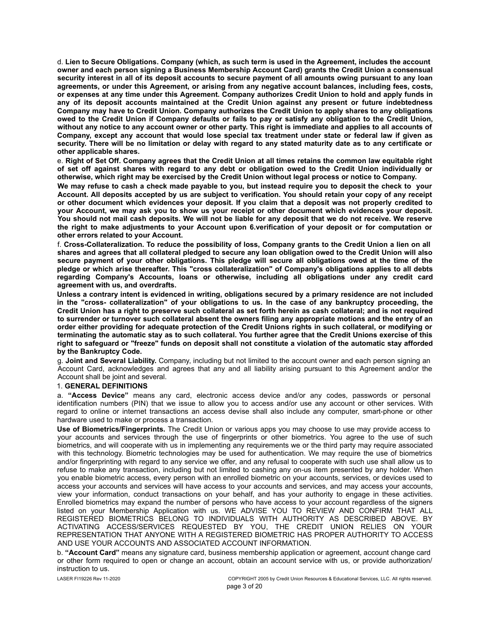d. **Lien to Secure Obligations. Company (which, as such term is used in the Agreement, includes the account owner and each person signing a Business Membership Account Card) grants the Credit Union a consensual security interest in all of its deposit accounts to secure payment of all amounts owing pursuant to any loan agreements, or under this Agreement, or arising from any negative account balances, including fees, costs, or expenses at any time under this Agreement. Company authorizes Credit Union to hold and apply funds in any of its deposit accounts maintained at the Credit Union against any present or future indebtedness Company may have to Credit Union. Company authorizes the Credit Union to apply shares to any obligations owed to the Credit Union if Company defaults or fails to pay or satisfy any obligation to the Credit Union, without any notice to any account owner or other party. This right is immediate and applies to all accounts of Company, except any account that would lose special tax treatment under state or federal law if given as security. There will be no limitation or delay with regard to any stated maturity date as to any certificate or other applicable shares.**

e. **Right of Set Off. Company agrees that the Credit Union at all times retains the common law equitable right of set off against shares with regard to any debt or obligation owed to the Credit Union individually or otherwise, which right may be exercised by the Credit Union without legal process or notice to Company.**

**We may refuse to cash a check made payable to you, but instead require you to deposit the check to your Account. All deposits accepted by us are subject to verification. You should retain your copy of any receipt or other document which evidences your deposit. If you claim that a deposit was not properly credited to your Account, we may ask you to show us your receipt or other document which evidences your deposit. You should not mail cash deposits. We will not be liable for any deposit that we do not receive. We reserve the right to make adjustments to your Account upon 6.verification of your deposit or for computation or other errors related to your Account.**

f. **Cross-Collateralization. To reduce the possibility of loss, Company grants to the Credit Union a lien on all shares and agrees that all collateral pledged to secure any loan obligation owed to the Credit Union will also secure payment of your other obligations. This pledge will secure all obligations owed at the time of the pledge or which arise thereafter. This "cross collateralization" of Company's obligations applies to all debts regarding Company's Accounts, loans or otherwise, including all obligations under any credit card agreement with us, and overdrafts.**

**Unless a contrary intent is evidenced in writing, obligations secured by a primary residence are not included in the "cross- collateralization" of your obligations to us. In the case of any bankruptcy proceeding, the Credit Union has a right to preserve such collateral as set forth herein as cash collateral; and is not required to surrender or turnover such collateral absent the owners filing any appropriate motions and the entry of an order either providing for adequate protection of the Credit Unions rights in such collateral, or modifying or terminating the automatic stay as to such collateral. You further agree that the Credit Unions exercise of this right to safeguard or "freeze" funds on deposit shall not constitute a violation of the automatic stay afforded by the Bankruptcy Code.**

g. **Joint and Several Liability.** Company, including but not limited to the account owner and each person signing an Account Card, acknowledges and agrees that any and all liability arising pursuant to this Agreement and/or the Account shall be joint and several.

## 1. **GENERAL DEFINITIONS**

a. **"Access Device"** means any card, electronic access device and/or any codes, passwords or personal identification numbers (PIN) that we issue to allow you to access and/or use any account or other services. With regard to online or internet transactions an access devise shall also include any computer, smart-phone or other hardware used to make or process a transaction.

**Use of Biometrics/Fingerprints.** The Credit Union or various apps you may choose to use may provide access to your accounts and services through the use of fingerprints or other biometrics. You agree to the use of such biometrics, and will cooperate with us in implementing any requirements we or the third party may require associated with this technology. Biometric technologies may be used for authentication. We may require the use of biometrics and/or fingerprinting with regard to any service we offer, and any refusal to cooperate with such use shall allow us to refuse to make any transaction, including but not limited to cashing any on-us item presented by any holder. When you enable biometric access, every person with an enrolled biometric on your accounts, services, or devices used to access your accounts and services will have access to your accounts and services, and may access your accounts, view your information, conduct transactions on your behalf, and has your authority to engage in these activities. Enrolled biometrics may expand the number of persons who have access to your account regardless of the signers listed on your Membership Application with us. WE ADVISE YOU TO REVIEW AND CONFIRM THAT ALL REGISTERED BIOMETRICS BELONG TO INDIVIDUALS WITH AUTHORITY AS DESCRIBED ABOVE. BY ACTIVATING ACCESS/SERVICES REQUESTED BY YOU, THE CREDIT UNION RELIES ON YOUR REPRESENTATION THAT ANYONE WITH A REGISTERED BIOMETRIC HAS PROPER AUTHORITY TO ACCESS AND USE YOUR ACCOUNTS AND ASSOCIATED ACCOUNT INFORMATION.

b. **"Account Card"** means any signature card, business membership application or agreement, account change card or other form required to open or change an account, obtain an account service with us, or provide authorization/ instruction to us.

LASER FI19226 Rev 11-2020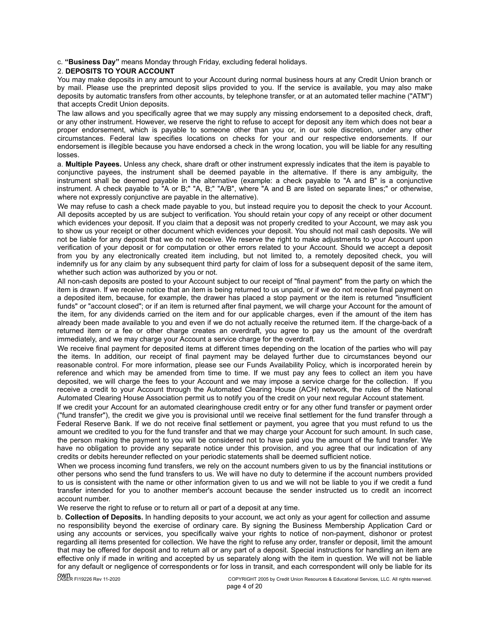c. **"Business Day"** means Monday through Friday, excluding federal holidays.

### 2. **DEPOSITS TO YOUR ACCOUNT**

You may make deposits in any amount to your Account during normal business hours at any Credit Union branch or by mail. Please use the preprinted deposit slips provided to you. If the service is available, you may also make deposits by automatic transfers from other accounts, by telephone transfer, or at an automated teller machine ("ATM") that accepts Credit Union deposits.

The law allows and you specifically agree that we may supply any missing endorsement to a deposited check, draft, or any other instrument. However, we reserve the right to refuse to accept for deposit any item which does not bear a proper endorsement, which is payable to someone other than you or, in our sole discretion, under any other circumstances. Federal law specifies locations on checks for your and our respective endorsements. If our endorsement is illegible because you have endorsed a check in the wrong location, you will be liable for any resulting losses.

a. **Multiple Payees.** Unless any check, share draft or other instrument expressly indicates that the item is payable to conjunctive payees, the instrument shall be deemed payable in the alternative. If there is any ambiguity, the instrument shall be deemed payable in the alternative (example: a check payable to "A and B" is a conjunctive instrument. A check payable to "A or B;" "A, B;" "A/B", where "A and B are listed on separate lines;" or otherwise, where not expressly conjunctive are payable in the alternative).

We may refuse to cash a check made payable to you, but instead require you to deposit the check to your Account. All deposits accepted by us are subject to verification. You should retain your copy of any receipt or other document which evidences your deposit. If you claim that a deposit was not properly credited to your Account, we may ask you to show us your receipt or other document which evidences your deposit. You should not mail cash deposits. We will not be liable for any deposit that we do not receive. We reserve the right to make adjustments to your Account upon verification of your deposit or for computation or other errors related to your Account. Should we accept a deposit from you by any electronically created item including, but not limited to, a remotely deposited check, you will indemnify us for any claim by any subsequent third party for claim of loss for a subsequent deposit of the same item, whether such action was authorized by you or not.

All non-cash deposits are posted to your Account subject to our receipt of "final payment" from the party on which the item is drawn. If we receive notice that an item is being returned to us unpaid, or if we do not receive final payment on a deposited item, because, for example, the drawer has placed a stop payment or the item is returned "insufficient funds" or "account closed"; or if an item is returned after final payment, we will charge your Account for the amount of the item, for any dividends carried on the item and for our applicable charges, even if the amount of the item has already been made available to you and even if we do not actually receive the returned item. If the charge-back of a returned item or a fee or other charge creates an overdraft, you agree to pay us the amount of the overdraft immediately, and we may charge your Account a service charge for the overdraft.

We receive final payment for deposited items at different times depending on the location of the parties who will pay the items. In addition, our receipt of final payment may be delayed further due to circumstances beyond our reasonable control. For more information, please see our Funds Availability Policy, which is incorporated herein by reference and which may be amended from time to time. If we must pay any fees to collect an item you have deposited, we will charge the fees to your Account and we may impose a service charge for the collection. If you receive a credit to your Account through the Automated Clearing House (ACH) network, the rules of the National Automated Clearing House Association permit us to notify you of the credit on your next regular Account statement.

If we credit your Account for an automated clearinghouse credit entry or for any other fund transfer or payment order ("fund transfer"), the credit we give you is provisional until we receive final settlement for the fund transfer through a Federal Reserve Bank. If we do not receive final settlement or payment, you agree that you must refund to us the amount we credited to you for the fund transfer and that we may charge your Account for such amount. In such case, the person making the payment to you will be considered not to have paid you the amount of the fund transfer. We have no obligation to provide any separate notice under this provision, and you agree that our indication of any credits or debits hereunder reflected on your periodic statements shall be deemed sufficient notice.

When we process incoming fund transfers, we rely on the account numbers given to us by the financial institutions or other persons who send the fund transfers to us. We will have no duty to determine if the account numbers provided to us is consistent with the name or other information given to us and we will not be liable to you if we credit a fund transfer intended for you to another member's account because the sender instructed us to credit an incorrect account number.

We reserve the right to refuse or to return all or part of a deposit at any time.

b. **Collection of Deposits.** In handling deposits to your account, we act only as your agent for collection and assume no responsibility beyond the exercise of ordinary care. By signing the Business Membership Application Card or using any accounts or services, you specifically waive your rights to notice of non-payment, dishonor or protest regarding all items presented for collection. We have the right to refuse any order, transfer or deposit, limit the amount that may be offered for deposit and to return all or any part of a deposit. Special instructions for handling an item are effective only if made in writing and accepted by us separately along with the item in question. We will not be liable for any default or negligence of correspondents or for loss in transit, and each correspondent will only be liable for its

**OWN**<br>LASER FI19226 Rev 11-2020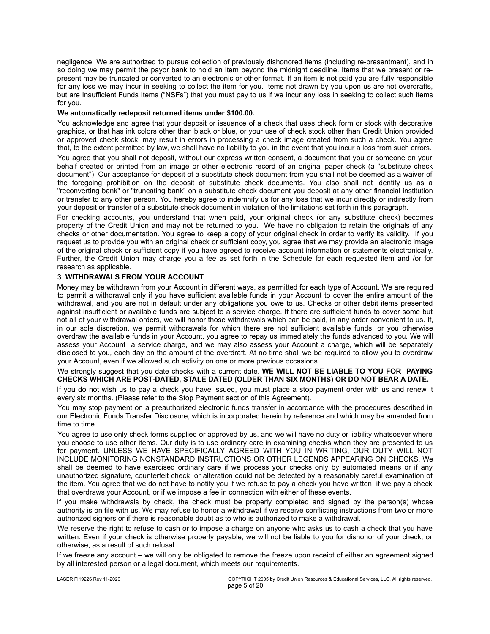negligence. We are authorized to pursue collection of previously dishonored items (including re-presentment), and in so doing we may permit the payor bank to hold an item beyond the midnight deadline. Items that we present or represent may be truncated or converted to an electronic or other format. If an item is not paid you are fully responsible for any loss we may incur in seeking to collect the item for you. Items not drawn by you upon us are not overdrafts, but are Insufficient Funds Items ("NSFs") that you must pay to us if we incur any loss in seeking to collect such items for you.

### **We automatically redeposit returned items under \$100.00.**

You acknowledge and agree that your deposit or issuance of a check that uses check form or stock with decorative graphics, or that has ink colors other than black or blue, or your use of check stock other than Credit Union provided or approved check stock, may result in errors in processing a check image created from such a check. You agree that, to the extent permitted by law, we shall have no liability to you in the event that you incur a loss from such errors.

You agree that you shall not deposit, without our express written consent, a document that you or someone on your behalf created or printed from an image or other electronic record of an original paper check (a "substitute check document"). Our acceptance for deposit of a substitute check document from you shall not be deemed as a waiver of the foregoing prohibition on the deposit of substitute check documents. You also shall not identify us as a "reconverting bank" or "truncating bank" on a substitute check document you deposit at any other financial institution or transfer to any other person. You hereby agree to indemnify us for any loss that we incur directly or indirectly from your deposit or transfer of a substitute check document in violation of the limitations set forth in this paragraph.

For checking accounts, you understand that when paid, your original check (or any substitute check) becomes property of the Credit Union and may not be returned to you. We have no obligation to retain the originals of any checks or other documentation. You agree to keep a copy of your original check in order to verify its validity. If you request us to provide you with an original check or sufficient copy, you agree that we may provide an electronic image of the original check or sufficient copy if you have agreed to receive account information or statements electronically. Further, the Credit Union may charge you a fee as set forth in the Schedule for each requested item and /or for research as applicable.

## 3. **WITHDRAWALS FROM YOUR ACCOUNT**

Money may be withdrawn from your Account in different ways, as permitted for each type of Account. We are required to permit a withdrawal only if you have sufficient available funds in your Account to cover the entire amount of the withdrawal, and you are not in default under any obligations you owe to us. Checks or other debit items presented against insufficient or available funds are subject to a service charge. If there are sufficient funds to cover some but not all of your withdrawal orders, we will honor those withdrawals which can be paid, in any order convenient to us. If, in our sole discretion, we permit withdrawals for which there are not sufficient available funds, or you otherwise overdraw the available funds in your Account, you agree to repay us immediately the funds advanced to you. We will assess your Account a service charge, and we may also assess your Account a charge, which will be separately disclosed to you, each day on the amount of the overdraft. At no time shall we be required to allow you to overdraw your Account, even if we allowed such activity on one or more previous occasions.

## We strongly suggest that you date checks with a current date. **WE WILL NOT BE LIABLE TO YOU FOR PAYING CHECKS WHICH ARE POST-DATED, STALE DATED (OLDER THAN SIX MONTHS) OR DO NOT BEAR A DATE.**

If you do not wish us to pay a check you have issued, you must place a stop payment order with us and renew it every six months. (Please refer to the Stop Payment section of this Agreement).

You may stop payment on a preauthorized electronic funds transfer in accordance with the procedures described in our Electronic Funds Transfer Disclosure, which is incorporated herein by reference and which may be amended from time to time.

You agree to use only check forms supplied or approved by us, and we will have no duty or liability whatsoever where you choose to use other items. Our duty is to use ordinary care in examining checks when they are presented to us for payment. UNLESS WE HAVE SPECIFICALLY AGREED WITH YOU IN WRITING, OUR DUTY WILL NOT INCLUDE MONITORING NONSTANDARD INSTRUCTIONS OR OTHER LEGENDS APPEARING ON CHECKS. We shall be deemed to have exercised ordinary care if we process your checks only by automated means or if any unauthorized signature, counterfeit check, or alteration could not be detected by a reasonably careful examination of the item. You agree that we do not have to notify you if we refuse to pay a check you have written, if we pay a check that overdraws your Account, or if we impose a fee in connection with either of these events.

If you make withdrawals by check, the check must be properly completed and signed by the person(s) whose authority is on file with us. We may refuse to honor a withdrawal if we receive conflicting instructions from two or more authorized signers or if there is reasonable doubt as to who is authorized to make a withdrawal.

We reserve the right to refuse to cash or to impose a charge on anyone who asks us to cash a check that you have written. Even if your check is otherwise properly payable, we will not be liable to you for dishonor of your check, or otherwise, as a result of such refusal.

If we freeze any account – we will only be obligated to remove the freeze upon receipt of either an agreement signed by all interested person or a legal document, which meets our requirements.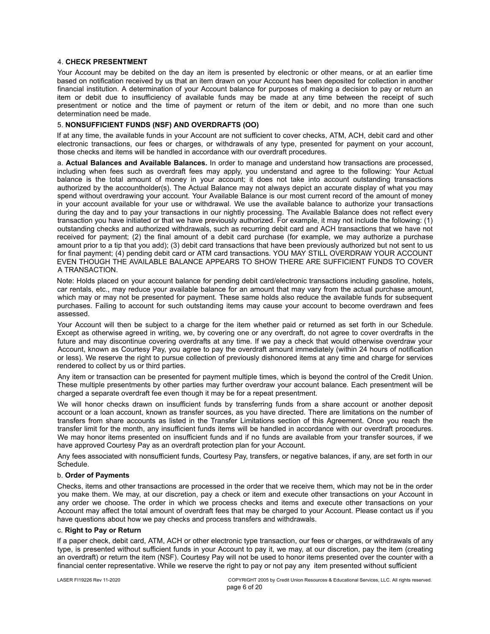## 4. **CHECK PRESENTMENT**

Your Account may be debited on the day an item is presented by electronic or other means, or at an earlier time based on notification received by us that an item drawn on your Account has been deposited for collection in another financial institution. A determination of your Account balance for purposes of making a decision to pay or return an item or debit due to insufficiency of available funds may be made at any time between the receipt of such presentment or notice and the time of payment or return of the item or debit, and no more than one such determination need be made.

### 5. **NONSUFFICIENT FUNDS (NSF) AND OVERDRAFTS (OO)**

If at any time, the available funds in your Account are not sufficient to cover checks, ATM, ACH, debit card and other electronic transactions, our fees or charges, or withdrawals of any type, presented for payment on your account, those checks and items will be handled in accordance with our overdraft procedures.

a. **Actual Balances and Available Balances.** In order to manage and understand how transactions are processed, including when fees such as overdraft fees may apply, you understand and agree to the following: Your Actual balance is the total amount of money in your account; it does not take into account outstanding transactions authorized by the accountholder(s). The Actual Balance may not always depict an accurate display of what you may spend without overdrawing your account. Your Available Balance is our most current record of the amount of money in your account available for your use or withdrawal. We use the available balance to authorize your transactions during the day and to pay your transactions in our nightly processing. The Available Balance does not reflect every transaction you have initiated or that we have previously authorized. For example, it may not include the following: (1) outstanding checks and authorized withdrawals, such as recurring debit card and ACH transactions that we have not received for payment; (2) the final amount of a debit card purchase (for example, we may authorize a purchase amount prior to a tip that you add); (3) debit card transactions that have been previously authorized but not sent to us for final payment; (4) pending debit card or ATM card transactions. YOU MAY STILL OVERDRAW YOUR ACCOUNT EVEN THOUGH THE AVAILABLE BALANCE APPEARS TO SHOW THERE ARE SUFFICIENT FUNDS TO COVER A TRANSACTION.

Note: Holds placed on your account balance for pending debit card/electronic transactions including gasoline, hotels, car rentals, etc., may reduce your available balance for an amount that may vary from the actual purchase amount, which may or may not be presented for payment. These same holds also reduce the available funds for subsequent purchases. Failing to account for such outstanding items may cause your account to become overdrawn and fees assessed.

Your Account will then be subject to a charge for the item whether paid or returned as set forth in our Schedule. Except as otherwise agreed in writing, we, by covering one or any overdraft, do not agree to cover overdrafts in the future and may discontinue covering overdrafts at any time. If we pay a check that would otherwise overdraw your Account, known as Courtesy Pay, you agree to pay the overdraft amount immediately (within 24 hours of notification or less). We reserve the right to pursue collection of previously dishonored items at any time and charge for services rendered to collect by us or third parties.

Any item or transaction can be presented for payment multiple times, which is beyond the control of the Credit Union. These multiple presentments by other parties may further overdraw your account balance. Each presentment will be charged a separate overdraft fee even though it may be for a repeat presentment.

We will honor checks drawn on insufficient funds by transferring funds from a share account or another deposit account or a loan account, known as transfer sources, as you have directed. There are limitations on the number of transfers from share accounts as listed in the Transfer Limitations section of this Agreement. Once you reach the transfer limit for the month, any insufficient funds items will be handled in accordance with our overdraft procedures. We may honor items presented on insufficient funds and if no funds are available from your transfer sources, if we have approved Courtesy Pay as an overdraft protection plan for your Account.

Any fees associated with nonsufficient funds, Courtesy Pay, transfers, or negative balances, if any, are set forth in our Schedule.

#### b. **Order of Payments**

Checks, items and other transactions are processed in the order that we receive them, which may not be in the order you make them. We may, at our discretion, pay a check or item and execute other transactions on your Account in any order we choose. The order in which we process checks and items and execute other transactions on your Account may affect the total amount of overdraft fees that may be charged to your Account. Please contact us if you have questions about how we pay checks and process transfers and withdrawals.

#### c. **Right to Pay or Return**

If a paper check, debit card, ATM, ACH or other electronic type transaction, our fees or charges, or withdrawals of any type, is presented without sufficient funds in your Account to pay it, we may, at our discretion, pay the item (creating an overdraft) or return the item (NSF). Courtesy Pay will not be used to honor items presented over the counter with a financial center representative. While we reserve the right to pay or not pay any item presented without sufficient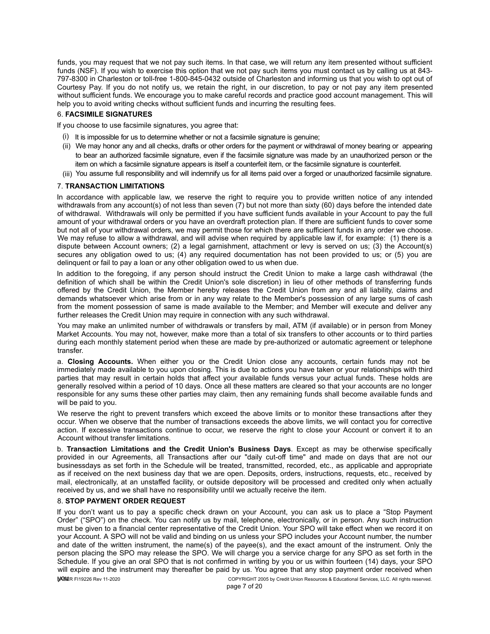funds, you may request that we not pay such items. In that case, we will return any item presented without sufficient funds (NSF). If you wish to exercise this option that we not pay such items you must contact us by calling us at 843- 797-8300 in Charleston or toll-free 1-800-845-0432 outside of Charleston and informing us that you wish to opt out of Courtesy Pay. If you do not notify us, we retain the right, in our discretion, to pay or not pay any item presented without sufficient funds. We encourage you to make careful records and practice good account management. This will help you to avoid writing checks without sufficient funds and incurring the resulting fees.

## 6. **FACSIMILE SIGNATURES**

If you choose to use facsimile signatures, you agree that:

- (i) It is impossible for us to determine whether or not a facsimile signature is genuine;
- We may honor any and all checks, drafts or other orders for the payment or withdrawal of money bearing or appearing (ii) to bear an authorized facsimile signature, even if the facsimile signature was made by an unauthorized person or the item on which a facsimile signature appears is itself a counterfeit item, or the facsimile signature is counterfeit.
- (iii) You assume full responsibility and will indemnify us for all items paid over a forged or unauthorized facsimile signature.

## 7. **TRANSACTION LIMITATIONS**

In accordance with applicable law, we reserve the right to require you to provide written notice of any intended withdrawals from any account(s) of not less than seven (7) but not more than sixty (60) days before the intended date of withdrawal. Withdrawals will only be permitted if you have sufficient funds available in your Account to pay the full amount of your withdrawal orders or you have an overdraft protection plan. If there are sufficient funds to cover some but not all of your withdrawal orders, we may permit those for which there are sufficient funds in any order we choose. We may refuse to allow a withdrawal, and will advise when required by applicable law if, for example: (1) there is a dispute between Account owners; (2) a legal garnishment, attachment or levy is served on us; (3) the Account(s) secures any obligation owed to us; (4) any required documentation has not been provided to us; or (5) you are delinquent or fail to pay a loan or any other obligation owed to us when due.

In addition to the foregoing, if any person should instruct the Credit Union to make a large cash withdrawal (the definition of which shall be within the Credit Union's sole discretion) in lieu of other methods of transferring funds offered by the Credit Union, the Member hereby releases the Credit Union from any and all liability, claims and demands whatsoever which arise from or in any way relate to the Member's possession of any large sums of cash from the moment possession of same is made available to the Member; and Member will execute and deliver any further releases the Credit Union may require in connection with any such withdrawal.

You may make an unlimited number of withdrawals or transfers by mail, ATM (if available) or in person from Money Market Accounts. You may not, however, make more than a total of six transfers to other accounts or to third parties during each monthly statement period when these are made by pre-authorized or automatic agreement or telephone transfer.

a. **Closing Accounts.** When either you or the Credit Union close any accounts, certain funds may not be immediately made available to you upon closing. This is due to actions you have taken or your relationships with third parties that may result in certain holds that affect your available funds versus your actual funds. These holds are generally resolved within a period of 10 days. Once all these matters are cleared so that your accounts are no longer responsible for any sums these other parties may claim, then any remaining funds shall become available funds and will be paid to you.

We reserve the right to prevent transfers which exceed the above limits or to monitor these transactions after they occur. When we observe that the number of transactions exceeds the above limits, we will contact you for corrective action. If excessive transactions continue to occur, we reserve the right to close your Account or convert it to an Account without transfer limitations.

b. **Transaction Limitations and the Credit Union's Business Days**. Except as may be otherwise specifically provided in our Agreements, all Transactions after our "daily cut-off time" and made on days that are not our businessdays as set forth in the Schedule will be treated, transmitted, recorded, etc., as applicable and appropriate as if received on the next business day that we are open. Deposits, orders, instructions, requests, etc., received by mail, electronically, at an unstaffed facility, or outside depository will be processed and credited only when actually received by us, and we shall have no responsibility until we actually receive the item.

## 8. **STOP PAYMENT ORDER REQUEST**

COPYRIGHT 2005 by Credit Union Resources & Educational Services, LLC. All rights reserved. If you don't want us to pay a specific check drawn on your Account, you can ask us to place a "Stop Payment Order" ("SPO") on the check. You can notify us by mail, telephone, electronically, or in person. Any such instruction must be given to a financial center representative of the Credit Union. Your SPO will take effect when we record it on your Account. A SPO will not be valid and binding on us unless your SPO includes your Account number, the number and date of the written instrument, the name(s) of the payee(s), and the exact amount of the instrument. Only the person placing the SPO may release the SPO. We will charge you a service charge for any SPO as set forth in the Schedule. If you give an oral SPO that is not confirmed in writing by you or us within fourteen (14) days, your SPO will expire and the instrument may thereafter be paid by us. You agree that any stop payment order received when WO SUIR FI19226 Rev 11-2020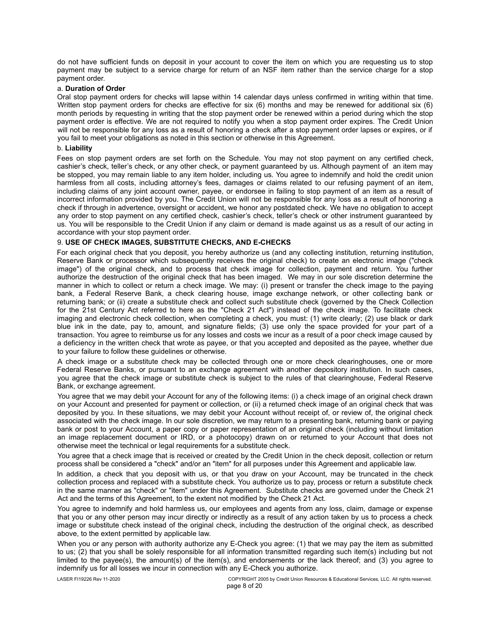do not have sufficient funds on deposit in your account to cover the item on which you are requesting us to stop payment may be subject to a service charge for return of an NSF item rather than the service charge for a stop payment order.

#### a. **Duration of Order**

Oral stop payment orders for checks will lapse within 14 calendar days unless confirmed in writing within that time. Written stop payment orders for checks are effective for six (6) months and may be renewed for additional six (6) month periods by requesting in writing that the stop payment order be renewed within a period during which the stop payment order is effective. We are not required to notify you when a stop payment order expires. The Credit Union will not be responsible for any loss as a result of honoring a check after a stop payment order lapses or expires, or if you fail to meet your obligations as noted in this section or otherwise in this Agreement.

#### b. **Liability**

Fees on stop payment orders are set forth on the Schedule. You may not stop payment on any certified check, cashier's check, teller's check, or any other check, or payment guaranteed by us. Although payment of an item may be stopped, you may remain liable to any item holder, including us. You agree to indemnify and hold the credit union harmless from all costs, including attorney's fees, damages or claims related to our refusing payment of an item, including claims of any joint account owner, payee, or endorsee in failing to stop payment of an item as a result of incorrect information provided by you. The Credit Union will not be responsible for any loss as a result of honoring a check if through in advertence, oversight or accident, we honor any postdated check. We have no obligation to accept any order to stop payment on any certified check, cashier's check, teller's check or other instrument guaranteed by us. You will be responsible to the Credit Union if any claim or demand is made against us as a result of our acting in accordance with your stop payment order.

## 9. **USE OF CHECK IMAGES, SUBSTITUTE CHECKS, AND E-CHECKS**

For each original check that you deposit, you hereby authorize us (and any collecting institution, returning institution, Reserve Bank or processor which subsequently receives the original check) to create an electronic image ("check image") of the original check, and to process that check image for collection, payment and return. You further authorize the destruction of the original check that has been imaged. We may in our sole discretion determine the manner in which to collect or return a check image. We may: (i) present or transfer the check image to the paying bank, a Federal Reserve Bank, a check clearing house, image exchange network, or other collecting bank or returning bank; or (ii) create a substitute check and collect such substitute check (governed by the Check Collection for the 21st Century Act referred to here as the "Check 21 Act") instead of the check image. To facilitate check imaging and electronic check collection, when completing a check, you must: (1) write clearly; (2) use black or dark blue ink in the date, pay to, amount, and signature fields; (3) use only the space provided for your part of a transaction. You agree to reimburse us for any losses and costs we incur as a result of a poor check image caused by a deficiency in the written check that wrote as payee, or that you accepted and deposited as the payee, whether due to your failure to follow these guidelines or otherwise.

A check image or a substitute check may be collected through one or more check clearinghouses, one or more Federal Reserve Banks, or pursuant to an exchange agreement with another depository institution. In such cases, you agree that the check image or substitute check is subject to the rules of that clearinghouse, Federal Reserve Bank, or exchange agreement.

You agree that we may debit your Account for any of the following items: (i) a check image of an original check drawn on your Account and presented for payment or collection, or (ii) a returned check image of an original check that was deposited by you. In these situations, we may debit your Account without receipt of, or review of, the original check associated with the check image. In our sole discretion, we may return to a presenting bank, returning bank or paying bank or post to your Account, a paper copy or paper representation of an original check (including without limitation an image replacement document or IRD, or a photocopy) drawn on or returned to your Account that does not otherwise meet the technical or legal requirements for a substitute check.

You agree that a check image that is received or created by the Credit Union in the check deposit, collection or return process shall be considered a "check" and/or an "item" for all purposes under this Agreement and applicable law.

In addition, a check that you deposit with us, or that you draw on your Account, may be truncated in the check collection process and replaced with a substitute check. You authorize us to pay, process or return a substitute check in the same manner as "check" or "item" under this Agreement. Substitute checks are governed under the Check 21 Act and the terms of this Agreement, to the extent not modified by the Check 21 Act.

You agree to indemnify and hold harmless us, our employees and agents from any loss, claim, damage or expense that you or any other person may incur directly or indirectly as a result of any action taken by us to process a check image or substitute check instead of the original check, including the destruction of the original check, as described above, to the extent permitted by applicable law.

When you or any person with authority authorize any E-Check you agree: (1) that we may pay the item as submitted to us; (2) that you shall be solely responsible for all information transmitted regarding such item(s) including but not limited to the payee(s), the amount(s) of the item(s), and endorsements or the lack thereof; and (3) you agree to indemnify us for all losses we incur in connection with any E-Check you authorize.

page 8 of 20 LASER FI19226 Rev 11-2020 COPYRIGHT 2005 by Credit Union Resources & Educational Services, LLC. All rights reserved.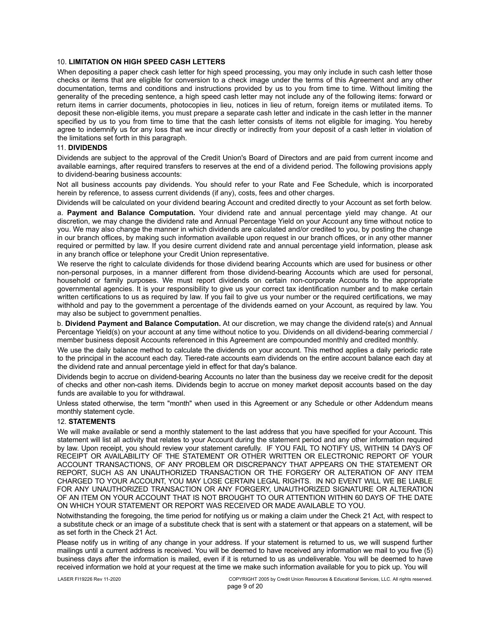## 10. **LIMITATION ON HIGH SPEED CASH LETTERS**

When depositing a paper check cash letter for high speed processing, you may only include in such cash letter those checks or items that are eligible for conversion to a check image under the terms of this Agreement and any other documentation, terms and conditions and instructions provided by us to you from time to time. Without limiting the generality of the preceding sentence, a high speed cash letter may not include any of the following items: forward or return items in carrier documents, photocopies in lieu, notices in lieu of return, foreign items or mutilated items. To deposit these non-eligible items, you must prepare a separate cash letter and indicate in the cash letter in the manner specified by us to you from time to time that the cash letter consists of items not eligible for imaging. You hereby agree to indemnify us for any loss that we incur directly or indirectly from your deposit of a cash letter in violation of the limitations set forth in this paragraph.

#### 11. **DIVIDENDS**

Dividends are subject to the approval of the Credit Union's Board of Directors and are paid from current income and available earnings, after required transfers to reserves at the end of a dividend period. The following provisions apply to dividend-bearing business accounts:

Not all business accounts pay dividends. You should refer to your Rate and Fee Schedule, which is incorporated herein by reference, to assess current dividends (if any), costs, fees and other charges.

Dividends will be calculated on your dividend bearing Account and credited directly to your Account as set forth below.

a. **Payment and Balance Computation.** Your dividend rate and annual percentage yield may change. At our discretion, we may change the dividend rate and Annual Percentage Yield on your Account any time without notice to you. We may also change the manner in which dividends are calculated and/or credited to you, by posting the change in our branch offices, by making such information available upon request in our branch offices, or in any other manner required or permitted by law. If you desire current dividend rate and annual percentage yield information, please ask in any branch office or telephone your Credit Union representative.

We reserve the right to calculate dividends for those dividend bearing Accounts which are used for business or other non-personal purposes, in a manner different from those dividend-bearing Accounts which are used for personal, household or family purposes. We must report dividends on certain non-corporate Accounts to the appropriate governmental agencies. It is your responsibility to give us your correct tax identification number and to make certain written certifications to us as required by law. If you fail to give us your number or the required certifications, we may withhold and pay to the government a percentage of the dividends earned on your Account, as required by law. You may also be subject to government penalties.

b. **Dividend Payment and Balance Computation.** At our discretion, we may change the dividend rate(s) and Annual Percentage Yield(s) on your account at any time without notice to you. Dividends on all dividend-bearing commercial / member business deposit Accounts referenced in this Agreement are compounded monthly and credited monthly.

We use the daily balance method to calculate the dividends on your account. This method applies a daily periodic rate to the principal in the account each day. Tiered-rate accounts earn dividends on the entire account balance each day at the dividend rate and annual percentage yield in effect for that day's balance.

Dividends begin to accrue on dividend-bearing Accounts no later than the business day we receive credit for the deposit of checks and other non-cash items. Dividends begin to accrue on money market deposit accounts based on the day funds are available to you for withdrawal.

Unless stated otherwise, the term "month" when used in this Agreement or any Schedule or other Addendum means monthly statement cycle.

#### 12. **STATEMENTS**

We will make available or send a monthly statement to the last address that you have specified for your Account. This statement will list all activity that relates to your Account during the statement period and any other information required by law. Upon receipt, you should review your statement carefully. IF YOU FAIL TO NOTIFY US, WITHIN 14 DAYS OF RECEIPT OR AVAILABILITY OF THE STATEMENT OR OTHER WRITTEN OR ELECTRONIC REPORT OF YOUR ACCOUNT TRANSACTIONS, OF ANY PROBLEM OR DISCREPANCY THAT APPEARS ON THE STATEMENT OR REPORT, SUCH AS AN UNAUTHORIZED TRANSACTION OR THE FORGERY OR ALTERATION OF ANY ITEM CHARGED TO YOUR ACCOUNT, YOU MAY LOSE CERTAIN LEGAL RIGHTS. IN NO EVENT WILL WE BE LIABLE FOR ANY UNAUTHORIZED TRANSACTION OR ANY FORGERY, UNAUTHORIZED SIGNATURE OR ALTERATION OF AN ITEM ON YOUR ACCOUNT THAT IS NOT BROUGHT TO OUR ATTENTION WITHIN 60 DAYS OF THE DATE ON WHICH YOUR STATEMENT OR REPORT WAS RECEIVED OR MADE AVAILABLE TO YOU.

Notwithstanding the foregoing, the time period for notifying us or making a claim under the Check 21 Act, with respect to a substitute check or an image of a substitute check that is sent with a statement or that appears on a statement, will be as set forth in the Check 21 Act.

Please notify us in writing of any change in your address. If your statement is returned to us, we will suspend further mailings until a current address is received. You will be deemed to have received any information we mail to you five (5) business days after the information is mailed, even if it is returned to us as undeliverable. You will be deemed to have received information we hold at your request at the time we make such information available for you to pick up. You will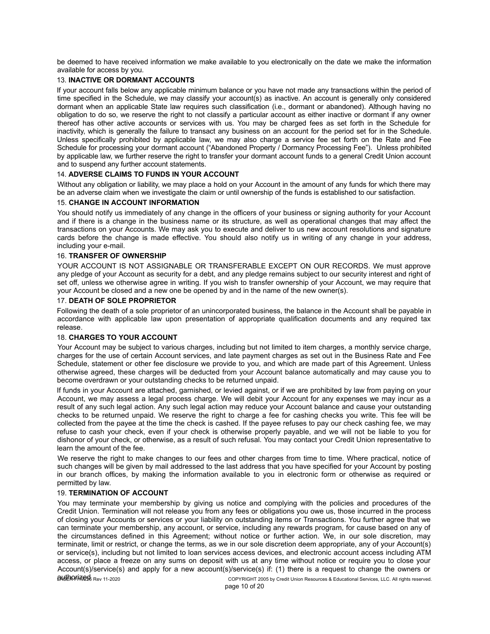be deemed to have received information we make available to you electronically on the date we make the information available for access by you.

## 13. **INACTIVE OR DORMANT ACCOUNTS**

If your account falls below any applicable minimum balance or you have not made any transactions within the period of time specified in the Schedule, we may classify your account(s) as inactive. An account is generally only considered dormant when an applicable State law requires such classification (i.e., dormant or abandoned). Although having no obligation to do so, we reserve the right to not classify a particular account as either inactive or dormant if any owner thereof has other active accounts or services with us. You may be charged fees as set forth in the Schedule for inactivity, which is generally the failure to transact any business on an account for the period set for in the Schedule. Unless specifically prohibited by applicable law, we may also charge a service fee set forth on the Rate and Fee Schedule for processing your dormant account ("Abandoned Property / Dormancy Processing Fee"). Unless prohibited by applicable law, we further reserve the right to transfer your dormant account funds to a general Credit Union account and to suspend any further account statements.

## 14. **ADVERSE CLAIMS TO FUNDS IN YOUR ACCOUNT**

Without any obligation or liability, we may place a hold on your Account in the amount of any funds for which there may be an adverse claim when we investigate the claim or until ownership of the funds is established to our satisfaction.

### 15. **CHANGE IN ACCOUNT INFORMATION**

You should notify us immediately of any change in the officers of your business or signing authority for your Account and if there is a change in the business name or its structure, as well as operational changes that may affect the transactions on your Accounts. We may ask you to execute and deliver to us new account resolutions and signature cards before the change is made effective. You should also notify us in writing of any change in your address, including your e-mail.

## 16. **TRANSFER OF OWNERSHIP**

YOUR ACCOUNT IS NOT ASSIGNABLE OR TRANSFERABLE EXCEPT ON OUR RECORDS. We must approve any pledge of your Account as security for a debt, and any pledge remains subject to our security interest and right of set off, unless we otherwise agree in writing. If you wish to transfer ownership of your Account, we may require that your Account be closed and a new one be opened by and in the name of the new owner(s).

## 17. **DEATH OF SOLE PROPRIETOR**

Following the death of a sole proprietor of an unincorporated business, the balance in the Account shall be payable in accordance with applicable law upon presentation of appropriate qualification documents and any required tax release.

## 18. **CHARGES TO YOUR ACCOUNT**

Your Account may be subject to various charges, including but not limited to item charges, a monthly service charge, charges for the use of certain Account services, and late payment charges as set out in the Business Rate and Fee Schedule, statement or other fee disclosure we provide to you, and which are made part of this Agreement. Unless otherwise agreed, these charges will be deducted from your Account balance automatically and may cause you to become overdrawn or your outstanding checks to be returned unpaid.

If funds in your Account are attached, garnished, or levied against, or if we are prohibited by law from paying on your Account, we may assess a legal process charge. We will debit your Account for any expenses we may incur as a result of any such legal action. Any such legal action may reduce your Account balance and cause your outstanding checks to be returned unpaid. We reserve the right to charge a fee for cashing checks you write. This fee will be collected from the payee at the time the check is cashed. If the payee refuses to pay our check cashing fee, we may refuse to cash your check, even if your check is otherwise properly payable, and we will not be liable to you for dishonor of your check, or otherwise, as a result of such refusal. You may contact your Credit Union representative to learn the amount of the fee.

We reserve the right to make changes to our fees and other charges from time to time. Where practical, notice of such changes will be given by mail addressed to the last address that you have specified for your Account by posting in our branch offices, by making the information available to you in electronic form or otherwise as required or permitted by law.

## 19. **TERMINATION OF ACCOUNT**

You may terminate your membership by giving us notice and complying with the policies and procedures of the Credit Union. Termination will not release you from any fees or obligations you owe us, those incurred in the process of closing your Accounts or services or your liability on outstanding items or Transactions. You further agree that we can terminate your membership, any account, or service, including any rewards program, for cause based on any of the circumstances defined in this Agreement; without notice or further action. We, in our sole discretion, may terminate, limit or restrict, or change the terms, as we in our sole discretion deem appropriate, any of your Account(s) or service(s), including but not limited to loan services access devices, and electronic account access including ATM access, or place a freeze on any sums on deposit with us at any time without notice or require you to close your Account(s)/service(s) and apply for a new account(s)/service(s) if: (1) there is a request to change the owners or  $\alpha$ uthorized  $R_{\text{av}}$  11-2020 COPYRIGHT 2005 by Credit Union Resources & Educational Services, LLC. All rights reserved.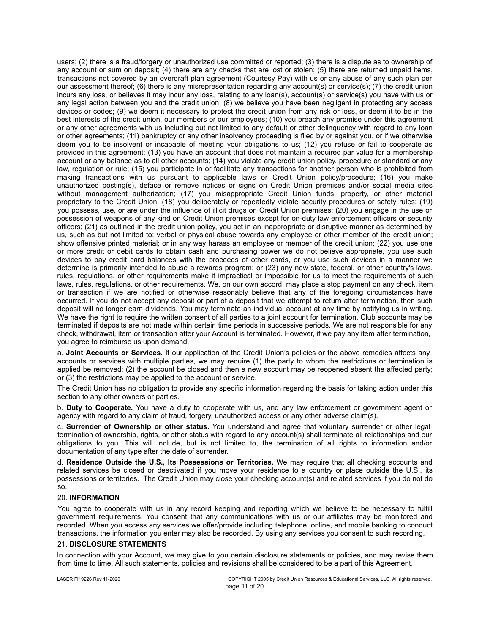users; (2) there is a fraud/forgery or unauthorized use committed or reported; (3) there is a dispute as to ownership of any account or sum on deposit; (4) there are any checks that are lost or stolen; (5) there are returned unpaid items, transactions not covered by an overdraft plan agreement (Courtesy Pay) with us or any abuse of any such plan per our assessment thereof; (6) there is any misrepresentation regarding any account(s) or service(s); (7) the credit union incurs any loss, or believes it may incur any loss, relating to any loan(s), account(s) or service(s) you have with us or any legal action between you and the credit union; (8) we believe you have been negligent in protecting any access devices or codes; (9) we deem it necessary to protect the credit union from any risk or loss, or deem it to be in the best interests of the credit union, our members or our employees; (10) you breach any promise under this agreement or any other agreements with us including but not limited to any default or other delinquency with regard to any loan or other agreements; (11) bankruptcy or any other insolvency proceeding is filed by or against you, or if we otherwise deem you to be insolvent or incapable of meeting your obligations to us; (12) you refuse or fail to cooperate as provided in this agreement; (13) you have an account that does not maintain a required par value for a membership account or any balance as to all other accounts; (14) you violate any credit union policy, procedure or standard or any law, regulation or rule; (15) you participate in or facilitate any transactions for another person who is prohibited from making transactions with us pursuant to applicable laws or Credit Union policy/procedure; (16) you make unauthorized posting(s), deface or remove notices or signs on Credit Union premises and/or social media sites without management authorization; (17) you misappropriate Credit Union funds, property, or other material proprietary to the Credit Union; (18) you deliberately or repeatedly violate security procedures or safety rules; (19) you possess, use, or are under the influence of illicit drugs on Credit Union premises; (20) you engage in the use or possession of weapons of any kind on Credit Union premises except for on-duty law enforcement officers or security officers; (21) as outlined in the credit union policy, you act in an inappropriate or disruptive manner as determined by us, such as but not limited to: verbal or physical abuse towards any employee or other member of the credit union; show offensive printed material; or in any way harass an employee or member of the credit union; (22) you use one or more credit or debit cards to obtain cash and purchasing power we do not believe appropriate, you use such devices to pay credit card balances with the proceeds of other cards, or you use such devices in a manner we determine is primarily intended to abuse a rewards program; or (23) any new state, federal, or other country's laws, rules, regulations, or other requirements make it impractical or impossible for us to meet the requirements of such laws, rules, regulations, or other requirements. We, on our own accord, may place a stop payment on any check, item or transaction if we are notified or otherwise reasonably believe that any of the foregoing circumstances have occurred. If you do not accept any deposit or part of a deposit that we attempt to return after termination, then such deposit will no longer earn dividends. You may terminate an individual account at any time by notifying us in writing. We have the right to require the written consent of all parties to a joint account for termination. Club accounts may be terminated if deposits are not made within certain time periods in successive periods. We are not responsible for any check, withdrawal, item or transaction after your Account is terminated. However, if we pay any item after termination, you agree to reimburse us upon demand.

a. **Joint Accounts or Services.** If our application of the Credit Union's policies or the above remedies affects any accounts or services with multiple parties, we may require (1) the party to whom the restrictions or termination is applied be removed; (2) the account be closed and then a new account may be reopened absent the affected party; or (3) the restrictions may be applied to the account or service.

The Credit Union has no obligation to provide any specific information regarding the basis for taking action under this section to any other owners or parties.

b. **Duty to Cooperate.** You have a duty to cooperate with us, and any law enforcement or government agent or agency with regard to any claim of fraud, forgery, unauthorized access or any other adverse claim(s).

c. **Surrender of Ownership or other status.** You understand and agree that voluntary surrender or other legal termination of ownership, rights, or other status with regard to any account(s) shall terminate all relationships and our obligations to you. This will include, but is not limited to, the termination of all rights to information and/or documentation of any type after the date of surrender.

d. **Residence Outside the U.S., Its Possessions or Territories.** We may require that all checking accounts and related services be closed or deactivated if you move your residence to a country or place outside the U.S., its possessions or territories. The Credit Union may close your checking account(s) and related services if you do not do so.

#### 20. **INFORMATION**

You agree to cooperate with us in any record keeping and reporting which we believe to be necessary to fulfill government requirements. You consent that any communications with us or our affiliates may be monitored and recorded. When you access any services we offer/provide including telephone, online, and mobile banking to conduct transactions, the information you enter may also be recorded. By using any services you consent to such recording.

#### 21. **DISCLOSURE STATEMENTS**

In connection with your Account, we may give to you certain disclosure statements or policies, and may revise them from time to time. All such statements, policies and revisions shall be considered to be a part of this Agreement.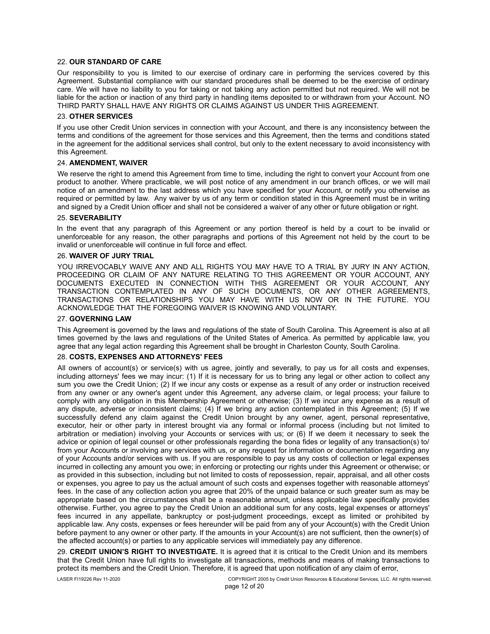#### 22. **OUR STANDARD OF CARE**

Our responsibility to you is limited to our exercise of ordinary care in performing the services covered by this Agreement. Substantial compliance with our standard procedures shall be deemed to be the exercise of ordinary care. We will have no liability to you for taking or not taking any action permitted but not required. We will not be liable for the action or inaction of any third party in handling items deposited to or withdrawn from your Account. NO THIRD PARTY SHALL HAVE ANY RIGHTS OR CLAIMS AGAINST US UNDER THIS AGREEMENT.

#### 23. **OTHER SERVICES**

If you use other Credit Union services in connection with your Account, and there is any inconsistency between the terms and conditions of the agreement for those services and this Agreement, then the terms and conditions stated in the agreement for the additional services shall control, but only to the extent necessary to avoid inconsistency with this Agreement.

## 24. **AMENDMENT, WAIVER**

We reserve the right to amend this Agreement from time to time, including the right to convert your Account from one product to another. Where practicable, we will post notice of any amendment in our branch offices, or we will mail notice of an amendment to the last address which you have specified for your Account, or notify you otherwise as required or permitted by law. Any waiver by us of any term or condition stated in this Agreement must be in writing and signed by a Credit Union officer and shall not be considered a waiver of any other or future obligation or right.

#### 25. **SEVERABILITY**

In the event that any paragraph of this Agreement or any portion thereof is held by a court to be invalid or unenforceable for any reason, the other paragraphs and portions of this Agreement not held by the court to be invalid or unenforceable will continue in full force and effect.

### 26. **WAIVER OF JURY TRIAL**

YOU IRREVOCABLY WAIVE ANY AND ALL RIGHTS YOU MAY HAVE TO A TRIAL BY JURY IN ANY ACTION, PROCEEDING OR CLAIM OF ANY NATURE RELATING TO THIS AGREEMENT OR YOUR ACCOUNT, ANY DOCUMENTS EXECUTED IN CONNECTION WITH THIS AGREEMENT OR YOUR ACCOUNT, ANY TRANSACTION CONTEMPLATED IN ANY OF SUCH DOCUMENTS, OR ANY OTHER AGREEMENTS, TRANSACTIONS OR RELATIONSHIPS YOU MAY HAVE WITH US NOW OR IN THE FUTURE. YOU ACKNOWLEDGE THAT THE FOREGOING WAIVER IS KNOWING AND VOLUNTARY.

## 27. **GOVERNING LAW**

This Agreement is governed by the laws and regulations of the state of South Carolina. This Agreement is also at all times governed by the laws and regulations of the United States of America. As permitted by applicable law, you agree that any legal action regarding this Agreement shall be brought in Charleston County, South Carolina.

## 28. **COSTS, EXPENSES AND ATTORNEYS' FEES**

All owners of account(s) or service(s) with us agree, jointly and severally, to pay us for all costs and expenses, including attorneys' fees we may incur: (1) If it is necessary for us to bring any legal or other action to collect any sum you owe the Credit Union; (2) If we incur any costs or expense as a result of any order or instruction received from any owner or any owner's agent under this Agreement, any adverse claim, or legal process; your failure to comply with any obligation in this Membership Agreement or otherwise; (3) If we incur any expense as a result of any dispute, adverse or inconsistent claims; (4) If we bring any action contemplated in this Agreement; (5) If we successfully defend any claim against the Credit Union brought by any owner, agent, personal representative, executor, heir or other party in interest brought via any formal or informal process (including but not limited to arbitration or mediation) involving your Accounts or services with us; or (6) If we deem it necessary to seek the advice or opinion of legal counsel or other professionals regarding the bona fides or legality of any transaction(s) to/ from your Accounts or involving any services with us, or any request for information or documentation regarding any of your Accounts and/or services with us. If you are responsible to pay us any costs of collection or legal expenses incurred in collecting any amount you owe; in enforcing or protecting our rights under this Agreement or otherwise; or as provided in this subsection, including but not limited to costs of repossession, repair, appraisal, and all other costs or expenses, you agree to pay us the actual amount of such costs and expenses together with reasonable attorneys' fees. In the case of any collection action you agree that 20% of the unpaid balance or such greater sum as may be appropriate based on the circumstances shall be a reasonable amount, unless applicable law specifically provides otherwise. Further, you agree to pay the Credit Union an additional sum for any costs, legal expenses or attorneys' fees incurred in any appellate, bankruptcy or post-judgment proceedings, except as limited or prohibited by applicable law. Any costs, expenses or fees hereunder will be paid from any of your Account(s) with the Credit Union before payment to any owner or other party. If the amounts in your Account(s) are not sufficient, then the owner(s) of the affected account(s) or parties to any applicable services will immediately pay any difference.

29. **CREDIT UNION'S RIGHT TO INVESTIGATE.** It is agreed that it is critical to the Credit Union and its members that the Credit Union have full rights to investigate all transactions, methods and means of making transactions to protect its members and the Credit Union. Therefore, it is agreed that upon notification of any claim of error,

page 12 of 20 LASER FI19226 Rev 11-2020 COPYRIGHT 2005 by Credit Union Resources & Educational Services, LLC. All rights reserved.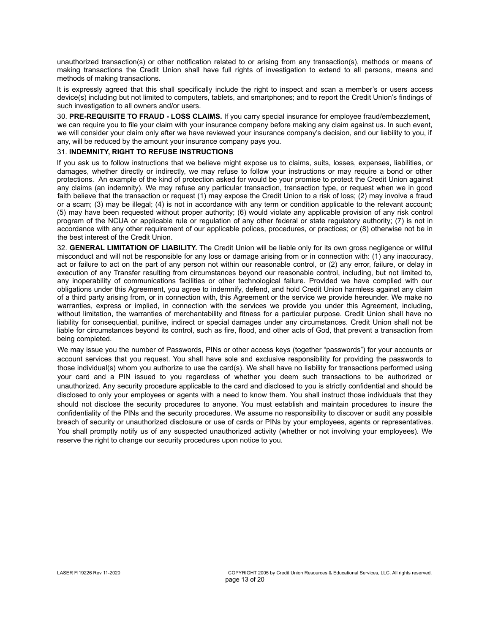unauthorized transaction(s) or other notification related to or arising from any transaction(s), methods or means of making transactions the Credit Union shall have full rights of investigation to extend to all persons, means and methods of making transactions.

It is expressly agreed that this shall specifically include the right to inspect and scan a member's or users access device(s) including but not limited to computers, tablets, and smartphones; and to report the Credit Union's findings of such investigation to all owners and/or users.

30. **PRE-REQUISITE TO FRAUD - LOSS CLAIMS.** If you carry special insurance for employee fraud/embezzlement, we can require you to file your claim with your insurance company before making any claim against us. In such event, we will consider your claim only after we have reviewed your insurance company's decision, and our liability to you, if any, will be reduced by the amount your insurance company pays you.

## 31. **INDEMNITY, RIGHT TO REFUSE INSTRUCTIONS**

If you ask us to follow instructions that we believe might expose us to claims, suits, losses, expenses, liabilities, or damages, whether directly or indirectly, we may refuse to follow your instructions or may require a bond or other protections. An example of the kind of protection asked for would be your promise to protect the Credit Union against any claims (an indemnity). We may refuse any particular transaction, transaction type, or request when we in good faith believe that the transaction or request (1) may expose the Credit Union to a risk of loss; (2) may involve a fraud or a scam; (3) may be illegal; (4) is not in accordance with any term or condition applicable to the relevant account; (5) may have been requested without proper authority; (6) would violate any applicable provision of any risk control program of the NCUA or applicable rule or regulation of any other federal or state regulatory authority; (7) is not in accordance with any other requirement of our applicable polices, procedures, or practices; or (8) otherwise not be in the best interest of the Credit Union.

32. **GENERAL LIMITATION OF LIABILITY.** The Credit Union will be liable only for its own gross negligence or willful misconduct and will not be responsible for any loss or damage arising from or in connection with: (1) any inaccuracy, act or failure to act on the part of any person not within our reasonable control, or (2) any error, failure, or delay in execution of any Transfer resulting from circumstances beyond our reasonable control, including, but not limited to, any inoperability of communications facilities or other technological failure. Provided we have complied with our obligations under this Agreement, you agree to indemnify, defend, and hold Credit Union harmless against any claim of a third party arising from, or in connection with, this Agreement or the service we provide hereunder. We make no warranties, express or implied, in connection with the services we provide you under this Agreement, including, without limitation, the warranties of merchantability and fitness for a particular purpose. Credit Union shall have no liability for consequential, punitive, indirect or special damages under any circumstances. Credit Union shall not be liable for circumstances beyond its control, such as fire, flood, and other acts of God, that prevent a transaction from being completed.

We may issue you the number of Passwords, PINs or other access keys (together "passwords") for your accounts or account services that you request. You shall have sole and exclusive responsibility for providing the passwords to those individual(s) whom you authorize to use the card(s). We shall have no liability for transactions performed using your card and a PIN issued to you regardless of whether you deem such transactions to be authorized or unauthorized. Any security procedure applicable to the card and disclosed to you is strictly confidential and should be disclosed to only your employees or agents with a need to know them. You shall instruct those individuals that they should not disclose the security procedures to anyone. You must establish and maintain procedures to insure the confidentiality of the PINs and the security procedures. We assume no responsibility to discover or audit any possible breach of security or unauthorized disclosure or use of cards or PINs by your employees, agents or representatives. You shall promptly notify us of any suspected unauthorized activity (whether or not involving your employees). We reserve the right to change our security procedures upon notice to you.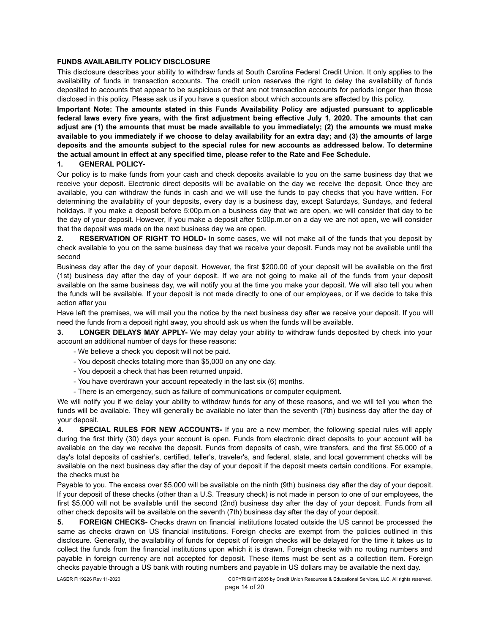## **FUNDS AVAILABILITY POLICY DISCLOSURE**

This disclosure describes your ability to withdraw funds at South Carolina Federal Credit Union. It only applies to the availability of funds in transaction accounts. The credit union reserves the right to delay the availability of funds deposited to accounts that appear to be suspicious or that are not transaction accounts for periods longer than those disclosed in this policy. Please ask us if you have a question about which accounts are affected by this policy.

**Important Note: The amounts stated in this Funds Availability Policy are adjusted pursuant to applicable federal laws every five years, with the first adjustment being effective July 1, 2020. The amounts that can adjust are (1) the amounts that must be made available to you immediately; (2) the amounts we must make available to you immediately if we choose to delay availability for an extra day; and (3) the amounts of large deposits and the amounts subject to the special rules for new accounts as addressed below. To determine the actual amount in effect at any specified time, please refer to the Rate and Fee Schedule.**

### **1. GENERAL POLICY-**

Our policy is to make funds from your cash and check deposits available to you on the same business day that we receive your deposit. Electronic direct deposits will be available on the day we receive the deposit. Once they are available, you can withdraw the funds in cash and we will use the funds to pay checks that you have written. For determining the availability of your deposits, every day is a business day, except Saturdays, Sundays, and federal holidays. If you make a deposit before 5:00p.m.on a business day that we are open, we will consider that day to be the day of your deposit. However, if you make a deposit after 5:00p.m.or on a day we are not open, we will consider that the deposit was made on the next business day we are open.

**2. RESERVATION OF RIGHT TO HOLD-** In some cases, we will not make all of the funds that you deposit by check available to you on the same business day that we receive your deposit. Funds may not be available until the second

Business day after the day of your deposit. However, the first \$200.00 of your deposit will be available on the first (1st) business day after the day of your deposit. If we are not going to make all of the funds from your deposit available on the same business day, we will notify you at the time you make your deposit. We will also tell you when the funds will be available. If your deposit is not made directly to one of our employees, or if we decide to take this action after you

Have left the premises, we will mail you the notice by the next business day after we receive your deposit. If you will need the funds from a deposit right away, you should ask us when the funds will be available.

**3. LONGER DELAYS MAY APPLY-** We may delay your ability to withdraw funds deposited by check into your account an additional number of days for these reasons:

- We believe a check you deposit will not be paid.
- You deposit checks totaling more than \$5,000 on any one day.
- You deposit a check that has been returned unpaid.
- You have overdrawn your account repeatedly in the last six (6) months.
- There is an emergency, such as failure of communications or computer equipment.

We will notify you if we delay your ability to withdraw funds for any of these reasons, and we will tell you when the funds will be available. They will generally be available no later than the seventh (7th) business day after the day of your deposit.

**4. SPECIAL RULES FOR NEW ACCOUNTS-** If you are a new member, the following special rules will apply during the first thirty (30) days your account is open. Funds from electronic direct deposits to your account will be available on the day we receive the deposit. Funds from deposits of cash, wire transfers, and the first \$5,000 of a day's total deposits of cashier's, certified, teller's, traveler's, and federal, state, and local government checks will be available on the next business day after the day of your deposit if the deposit meets certain conditions. For example, the checks must be

Payable to you. The excess over \$5,000 will be available on the ninth (9th) business day after the day of your deposit. If your deposit of these checks (other than a U.S. Treasury check) is not made in person to one of our employees, the first \$5,000 will not be available until the second (2nd) business day after the day of your deposit. Funds from all other check deposits will be available on the seventh (7th) business day after the day of your deposit.

**5. FOREIGN CHECKS-** Checks drawn on financial institutions located outside the US cannot be processed the same as checks drawn on US financial institutions. Foreign checks are exempt from the policies outlined in this disclosure. Generally, the availability of funds for deposit of foreign checks will be delayed for the time it takes us to collect the funds from the financial institutions upon which it is drawn. Foreign checks with no routing numbers and payable in foreign currency are not accepted for deposit. These items must be sent as a collection item. Foreign checks payable through a US bank with routing numbers and payable in US dollars may be available the next day.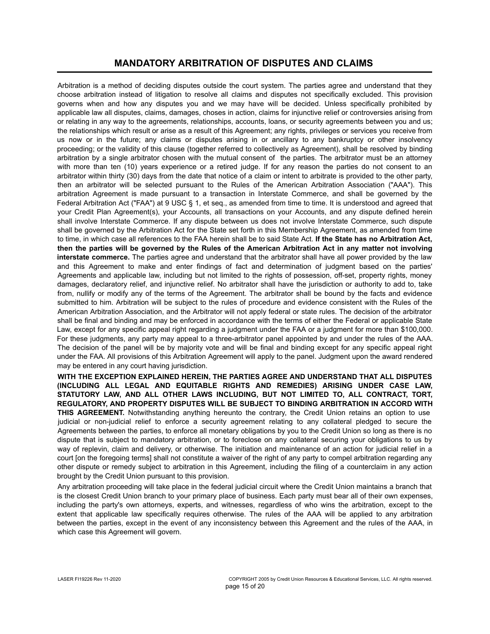## **MANDATORY ARBITRATION OF DISPUTES AND CLAIMS**

Arbitration is a method of deciding disputes outside the court system. The parties agree and understand that they choose arbitration instead of litigation to resolve all claims and disputes not specifically excluded. This provision governs when and how any disputes you and we may have will be decided. Unless specifically prohibited by applicable law all disputes, claims, damages, choses in action, claims for injunctive relief or controversies arising from or relating in any way to the agreements, relationships, accounts, loans, or security agreements between you and us; the relationships which result or arise as a result of this Agreement; any rights, privileges or services you receive from us now or in the future; any claims or disputes arising in or ancillary to any bankruptcy or other insolvency proceeding; or the validity of this clause (together referred to collectively as Agreement), shall be resolved by binding arbitration by a single arbitrator chosen with the mutual consent of the parties. The arbitrator must be an attorney with more than ten (10) years experience or a retired judge. If for any reason the parties do not consent to an arbitrator within thirty (30) days from the date that notice of a claim or intent to arbitrate is provided to the other party, then an arbitrator will be selected pursuant to the Rules of the American Arbitration Association ("AAA"). This arbitration Agreement is made pursuant to a transaction in Interstate Commerce, and shall be governed by the Federal Arbitration Act ("FAA") at 9 USC § 1, et seq., as amended from time to time. It is understood and agreed that your Credit Plan Agreement(s), your Accounts, all transactions on your Accounts, and any dispute defined herein shall involve Interstate Commerce. If any dispute between us does not involve Interstate Commerce, such dispute shall be governed by the Arbitration Act for the State set forth in this Membership Agreement, as amended from time to time, in which case all references to the FAA herein shall be to said State Act. **If the State has no Arbitration Act, then the parties will be governed by the Rules of the American Arbitration Act in any matter not involving interstate commerce.** The parties agree and understand that the arbitrator shall have all power provided by the law and this Agreement to make and enter findings of fact and determination of judgment based on the parties' Agreements and applicable law, including but not limited to the rights of possession, off-set, property rights, money damages, declaratory relief, and injunctive relief. No arbitrator shall have the jurisdiction or authority to add to, take from, nullify or modify any of the terms of the Agreement. The arbitrator shall be bound by the facts and evidence submitted to him. Arbitration will be subject to the rules of procedure and evidence consistent with the Rules of the American Arbitration Association, and the Arbitrator will not apply federal or state rules. The decision of the arbitrator shall be final and binding and may be enforced in accordance with the terms of either the Federal or applicable State Law, except for any specific appeal right regarding a judgment under the FAA or a judgment for more than \$100,000. For these judgments, any party may appeal to a three-arbitrator panel appointed by and under the rules of the AAA. The decision of the panel will be by majority vote and will be final and binding except for any specific appeal right under the FAA. All provisions of this Arbitration Agreement will apply to the panel. Judgment upon the award rendered may be entered in any court having jurisdiction.

**WITH THE EXCEPTION EXPLAINED HEREIN, THE PARTIES AGREE AND UNDERSTAND THAT ALL DISPUTES (INCLUDING ALL LEGAL AND EQUITABLE RIGHTS AND REMEDIES) ARISING UNDER CASE LAW, STATUTORY LAW, AND ALL OTHER LAWS INCLUDING, BUT NOT LIMITED TO, ALL CONTRACT, TORT, REGULATORY, AND PROPERTY DISPUTES WILL BE SUBJECT TO BINDING ARBITRATION IN ACCORD WITH THIS AGREEMENT.** Notwithstanding anything hereunto the contrary, the Credit Union retains an option to use judicial or non-judicial relief to enforce a security agreement relating to any collateral pledged to secure the Agreements between the parties, to enforce all monetary obligations by you to the Credit Union so long as there is no dispute that is subject to mandatory arbitration, or to foreclose on any collateral securing your obligations to us by way of replevin, claim and delivery, or otherwise. The initiation and maintenance of an action for judicial relief in a court [on the foregoing terms] shall not constitute a waiver of the right of any party to compel arbitration regarding any other dispute or remedy subject to arbitration in this Agreement, including the filing of a counterclaim in any action brought by the Credit Union pursuant to this provision.

Any arbitration proceeding will take place in the federal judicial circuit where the Credit Union maintains a branch that is the closest Credit Union branch to your primary place of business. Each party must bear all of their own expenses, including the party's own attorneys, experts, and witnesses, regardless of who wins the arbitration, except to the extent that applicable law specifically requires otherwise. The rules of the AAA will be applied to any arbitration between the parties, except in the event of any inconsistency between this Agreement and the rules of the AAA, in which case this Agreement will govern.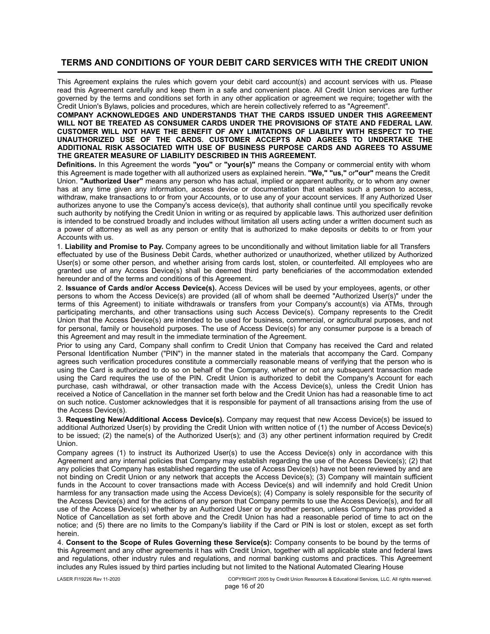## **TERMS AND CONDITIONS OF YOUR DEBIT CARD SERVICES WITH THE CREDIT UNION**

This Agreement explains the rules which govern your debit card account(s) and account services with us. Please read this Agreement carefully and keep them in a safe and convenient place. All Credit Union services are further governed by the terms and conditions set forth in any other application or agreement we require; together with the Credit Union's Bylaws, policies and procedures, which are herein collectively referred to as "Agreement".

### **COMPANY ACKNOWLEDGES AND UNDERSTANDS THAT THE CARDS ISSUED UNDER THIS AGREEMENT WILL NOT BE TREATED AS CONSUMER CARDS UNDER THE PROVISIONS OF STATE AND FEDERAL LAW. CUSTOMER WILL NOT HAVE THE BENEFIT OF ANY LIMITATIONS OF LIABILITY WITH RESPECT TO THE UNAUTHORIZED USE OF THE CARDS. CUSTOMER ACCEPTS AND AGREES TO UNDERTAKE THE ADDITIONAL RISK ASSOCIATED WITH USE OF BUSINESS PURPOSE CARDS AND AGREES TO ASSUME THE GREATER MEASURE OF LIABILITY DESCRIBED IN THIS AGREEMENT.**

**Definitions.** In this Agreement the words **"you"** or **"your(s)"** means the Company or commercial entity with whom this Agreement is made together with all authorized users as explained herein. **"We," "us,"** or**"our"** means the Credit Union. **"Authorized User"** means any person who has actual, implied or apparent authority, or to whom any owner has at any time given any information, access device or documentation that enables such a person to access, withdraw, make transactions to or from your Accounts, or to use any of your account services. If any Authorized User authorizes anyone to use the Company's access device(s), that authority shall continue until you specifically revoke such authority by notifying the Credit Union in writing or as required by applicable laws. This authorized user definition is intended to be construed broadly and includes without limitation all users acting under a written document such as a power of attorney as well as any person or entity that is authorized to make deposits or debits to or from your Accounts with us.

1. **Liability and Promise to Pay.** Company agrees to be unconditionally and without limitation liable for all Transfers effectuated by use of the Business Debit Cards, whether authorized or unauthorized, whether utilized by Authorized User(s) or some other person, and whether arising from cards lost, stolen, or counterfeited. All employees who are granted use of any Access Device(s) shall be deemed third party beneficiaries of the accommodation extended hereunder and of the terms and conditions of this Agreement.

2. **Issuance of Cards and/or Access Device(s).** Access Devices will be used by your employees, agents, or other persons to whom the Access Device(s) are provided (all of whom shall be deemed "Authorized User(s)" under the terms of this Agreement) to initiate withdrawals or transfers from your Company's account(s) via ATMs, through participating merchants, and other transactions using such Access Device(s). Company represents to the Credit Union that the Access Device(s) are intended to be used for business, commercial, or agricultural purposes, and not for personal, family or household purposes. The use of Access Device(s) for any consumer purpose is a breach of this Agreement and may result in the immediate termination of the Agreement.

Prior to using any Card, Company shall confirm to Credit Union that Company has received the Card and related Personal Identification Number ("PIN") in the manner stated in the materials that accompany the Card. Company agrees such verification procedures constitute a commercially reasonable means of verifying that the person who is using the Card is authorized to do so on behalf of the Company, whether or not any subsequent transaction made using the Card requires the use of the PIN. Credit Union is authorized to debit the Company's Account for each purchase, cash withdrawal, or other transaction made with the Access Device(s), unless the Credit Union has received a Notice of Cancellation in the manner set forth below and the Credit Union has had a reasonable time to act on such notice. Customer acknowledges that it is responsible for payment of all transactions arising from the use of the Access Device(s).

3. **Requesting New/Additional Access Device(s).** Company may request that new Access Device(s) be issued to additional Authorized User(s) by providing the Credit Union with written notice of (1) the number of Access Device(s) to be issued; (2) the name(s) of the Authorized User(s); and (3) any other pertinent information required by Credit Union.

Company agrees (1) to instruct its Authorized User(s) to use the Access Device(s) only in accordance with this Agreement and any internal policies that Company may establish regarding the use of the Access Device(s); (2) that any policies that Company has established regarding the use of Access Device(s) have not been reviewed by and are not binding on Credit Union or any network that accepts the Access Device(s); (3) Company will maintain sufficient funds in the Account to cover transactions made with Access Device(s) and will indemnify and hold Credit Union harmless for any transaction made using the Access Device(s); (4) Company is solely responsible for the security of the Access Device(s) and for the actions of any person that Company permits to use the Access Device(s), and for all use of the Access Device(s) whether by an Authorized User or by another person, unless Company has provided a Notice of Cancellation as set forth above and the Credit Union has had a reasonable period of time to act on the notice; and (5) there are no limits to the Company's liability if the Card or PIN is lost or stolen, except as set forth herein.

4. **Consent to the Scope of Rules Governing these Service(s):** Company consents to be bound by the terms of this Agreement and any other agreements it has with Credit Union, together with all applicable state and federal laws and regulations, other industry rules and regulations, and normal banking customs and practices. This Agreement includes any Rules issued by third parties including but not limited to the National Automated Clearing House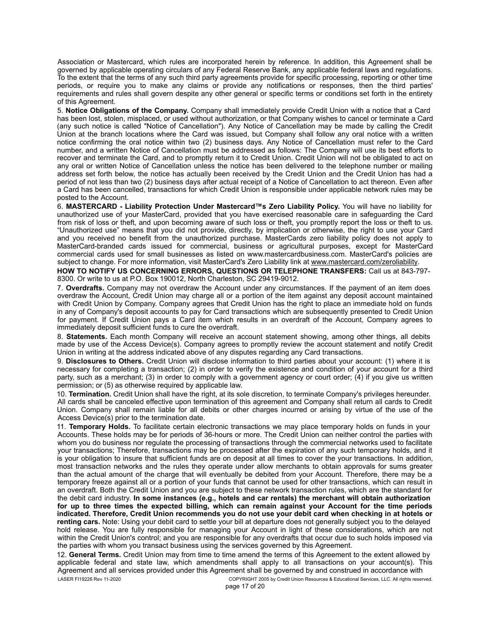Association or Mastercard, which rules are incorporated herein by reference. In addition, this Agreement shall be governed by applicable operating circulars of any Federal Reserve Bank, any applicable federal laws and regulations. To the extent that the terms of any such third party agreements provide for specific processing, reporting or other time periods, or require you to make any claims or provide any notifications or responses, then the third parties' requirements and rules shall govern despite any other general or specific terms or conditions set forth in the entirety of this Agreement.

5. **Notice Obligations of the Company.** Company shall immediately provide Credit Union with a notice that a Card has been lost, stolen, misplaced, or used without authorization, or that Company wishes to cancel or terminate a Card (any such notice is called "Notice of Cancellation"). Any Notice of Cancellation may be made by calling the Credit Union at the branch locations where the Card was issued, but Company shall follow any oral notice with a written notice confirming the oral notice within two (2) business days. Any Notice of Cancellation must refer to the Card number, and a written Notice of Cancellation must be addressed as follows: The Company will use its best efforts to recover and terminate the Card, and to promptly return it to Credit Union. Credit Union will not be obligated to act on any oral or written Notice of Cancellation unless the notice has been delivered to the telephone number or mailing address set forth below, the notice has actually been received by the Credit Union and the Credit Union has had a period of not less than two (2) business days after actual receipt of a Notice of Cancellation to act thereon. Even after a Card has been cancelled, transactions for which Credit Union is responsible under applicable network rules may be posted to the Account.

6. **MASTERCARD - Liability Protection Under Mastercard™s Zero Liability Policy.** You will have no liability for unauthorized use of your MasterCard, provided that you have exercised reasonable care in safeguarding the Card from risk of loss or theft, and upon becoming aware of such loss or theft, you promptly report the loss or theft to us. "Unauthorized use" means that you did not provide, directly, by implication or otherwise, the right to use your Card and you received no benefit from the unauthorized purchase. MasterCards zero liability policy does not apply to MasterCard-branded cards issued for commercial, business or agricultural purposes, except for MasterCard commercial cards used for small businesses as listed on www.mastercardbusiness.com. MasterCard's policies are subject to change. For more information, visit MasterCard's Zero Liability link at www.mastercard.com/zeroliability.

**HOW TO NOTIFY US CONCERNING ERRORS, QUESTIONS OR TELEPHONE TRANSFERS:** Call us at 843-797- 8300. Or write to us at P.O. Box 190012, North Charleston, SC 29419-9012.

7. **Overdrafts.** Company may not overdraw the Account under any circumstances. If the payment of an item does overdraw the Account, Credit Union may charge all or a portion of the item against any deposit account maintained with Credit Union by Company. Company agrees that Credit Union has the right to place an immediate hold on funds in any of Company's deposit accounts to pay for Card transactions which are subsequently presented to Credit Union for payment. If Credit Union pays a Card item which results in an overdraft of the Account, Company agrees to immediately deposit sufficient funds to cure the overdraft.

8. **Statements.** Each month Company will receive an account statement showing, among other things, all debits made by use of the Access Device(s). Company agrees to promptly review the account statement and notify Credit Union in writing at the address indicated above of any disputes regarding any Card transactions.

9. **Disclosures to Others.** Credit Union will disclose information to third parties about your account: (1) where it is necessary for completing a transaction; (2) in order to verify the existence and condition of your account for a third party, such as a merchant; (3) in order to comply with a government agency or court order; (4) if you give us written permission; or (5) as otherwise required by applicable law.

10. **Termination.** Credit Union shall have the right, at its sole discretion, to terminate Company's privileges hereunder. All cards shall be canceled effective upon termination of this agreement and Company shall return all cards to Credit Union. Company shall remain liable for all debits or other charges incurred or arising by virtue of the use of the Access Device(s) prior to the termination date.

11. **Temporary Holds.** To facilitate certain electronic transactions we may place temporary holds on funds in your Accounts. These holds may be for periods of 36-hours or more. The Credit Union can neither control the parties with whom you do business nor regulate the processing of transactions through the commercial networks used to facilitate your transactions; Therefore, transactions may be processed after the expiration of any such temporary holds, and it is your obligation to insure that sufficient funds are on deposit at all times to cover the your transactions. In addition, most transaction networks and the rules they operate under allow merchants to obtain approvals for sums greater than the actual amount of the charge that will eventually be debited from your Account. Therefore, there may be a temporary freeze against all or a portion of your funds that cannot be used for other transactions, which can result in an overdraft. Both the Credit Union and you are subject to these network transaction rules, which are the standard for the debit card industry. **In some instances (e.g., hotels and car rentals) the merchant will obtain authorization for up to three times the expected billing, which can remain against your Account for the time periods indicated. Therefore, Credit Union recommends you do not use your debit card when checking in at hotels or renting cars.** Note: Using your debit card to settle your bill at departure does not generally subject you to the delayed hold release. You are fully responsible for managing your Account in light of these considerations, which are not within the Credit Union's control; and you are responsible for any overdrafts that occur due to such holds imposed via the parties with whom you transact business using the services governed by this Agreement.

LASER FI19226 Rev 11-2020 COPYRIGHT 2005 by Credit Union Resources & Educational Services, LLC. All rights reserved. 12. **General Terms.** Credit Union may from time to time amend the terms of this Agreement to the extent allowed by applicable federal and state law, which amendments shall apply to all transactions on your account(s). This Agreement and all services provided under this Agreement shall be governed by and construed in accordance with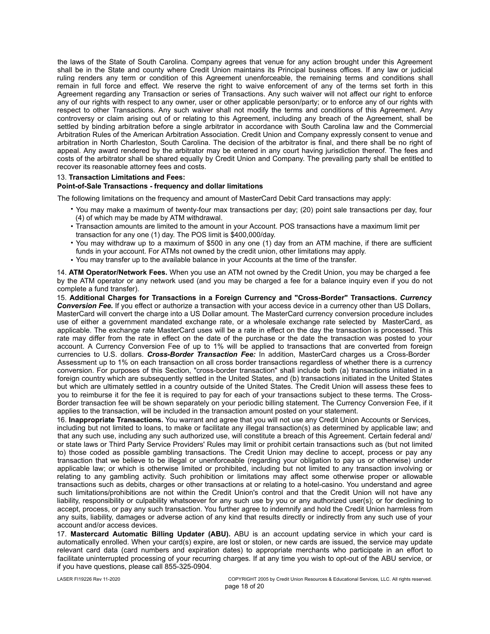the laws of the State of South Carolina. Company agrees that venue for any action brought under this Agreement shall be in the State and county where Credit Union maintains its Principal business offices. If any law or judicial ruling renders any term or condition of this Agreement unenforceable, the remaining terms and conditions shall remain in full force and effect. We reserve the right to waive enforcement of any of the terms set forth in this Agreement regarding any Transaction or series of Transactions. Any such waiver will not affect our right to enforce any of our rights with respect to any owner, user or other applicable person/party; or to enforce any of our rights with respect to other Transactions. Any such waiver shall not modify the terms and conditions of this Agreement. Any controversy or claim arising out of or relating to this Agreement, including any breach of the Agreement, shall be settled by binding arbitration before a single arbitrator in accordance with South Carolina law and the Commercial Arbitration Rules of the American Arbitration Association. Credit Union and Company expressly consent to venue and arbitration in North Charleston, South Carolina. The decision of the arbitrator is final, and there shall be no right of appeal. Any award rendered by the arbitrator may be entered in any court having jurisdiction thereof. The fees and costs of the arbitrator shall be shared equally by Credit Union and Company. The prevailing party shall be entitled to recover its reasonable attorney fees and costs.

#### 13. **Transaction Limitations and Fees:**

#### **Point-of-Sale Transactions - frequency and dollar limitations**

The following limitations on the frequency and amount of MasterCard Debit Card transactions may apply:

- You may make a maximum of twenty-four max transactions per day; (20) point sale transactions per day, four (4) of which may be made by ATM withdrawal.
- Transaction amounts are limited to the amount in your Account. POS transactions have a maximum limit per transaction for any one (1) day. The POS limit is \$400,000/day.
- You may withdraw up to a maximum of \$500 in any one (1) day from an ATM machine, if there are sufficient funds in your account. For ATMs not owned by the credit union, other limitations may apply.
- You may transfer up to the available balance in your Accounts at the time of the transfer. •

14. **ATM Operator/Network Fees.** When you use an ATM not owned by the Credit Union, you may be charged a fee by the ATM operator or any network used (and you may be charged a fee for a balance inquiry even if you do not complete a fund transfer).

15. **Additional Charges for Transactions in a Foreign Currency and "Cross-Border" Transactions.** *Currency Conversion Fee.* If you effect or authorize a transaction with your access device in a currency other than US Dollars, MasterCard will convert the charge into a US Dollar amount. The MasterCard currency conversion procedure includes use of either a government mandated exchange rate, or a wholesale exchange rate selected by MasterCard, as applicable. The exchange rate MasterCard uses will be a rate in effect on the day the transaction is processed. This rate may differ from the rate in effect on the date of the purchase or the date the transaction was posted to your account. A Currency Conversion Fee of up to 1% will be applied to transactions that are converted from foreign currencies to U.S. dollars. *Cross-Border Transaction Fee:* In addition, MasterCard charges us a Cross-Border Assessment up to 1% on each transaction on all cross border transactions regardless of whether there is a currency conversion. For purposes of this Section, "cross-border transaction" shall include both (a) transactions initiated in a foreign country which are subsequently settled in the United States, and (b) transactions initiated in the United States but which are ultimately settled in a country outside of the United States. The Credit Union will assess these fees to you to reimburse it for the fee it is required to pay for each of your transactions subject to these terms. The Cross-Border transaction fee will be shown separately on your periodic billing statement. The Currency Conversion Fee, if it applies to the transaction, will be included in the transaction amount posted on your statement.

16. **Inappropriate Transactions.** You warrant and agree that you will not use any Credit Union Accounts or Services, including but not limited to loans, to make or facilitate any illegal transaction(s) as determined by applicable law; and that any such use, including any such authorized use, will constitute a breach of this Agreement. Certain federal and/ or state laws or Third Party Service Providers' Rules may limit or prohibit certain transactions such as (but not limited to) those coded as possible gambling transactions. The Credit Union may decline to accept, process or pay any transaction that we believe to be illegal or unenforceable (regarding your obligation to pay us or otherwise) under applicable law; or which is otherwise limited or prohibited, including but not limited to any transaction involving or relating to any gambling activity. Such prohibition or limitations may affect some otherwise proper or allowable transactions such as debits, charges or other transactions at or relating to a hotel-casino. You understand and agree such limitations/prohibitions are not within the Credit Union's control and that the Credit Union will not have any liability, responsibility or culpability whatsoever for any such use by you or any authorized user(s); or for declining to accept, process, or pay any such transaction. You further agree to indemnify and hold the Credit Union harmless from any suits, liability, damages or adverse action of any kind that results directly or indirectly from any such use of your account and/or access devices.

17. **Mastercard Automatic Billing Updater (ABU).** ABU is an account updating service in which your card is automatically enrolled. When your card(s) expire, are lost or stolen, or new cards are issued, the service may update relevant card data (card numbers and expiration dates) to appropriate merchants who participate in an effort to facilitate uninterrupted processing of your recurring charges. If at any time you wish to opt-out of the ABU service, or if you have questions, please call 855-325-0904.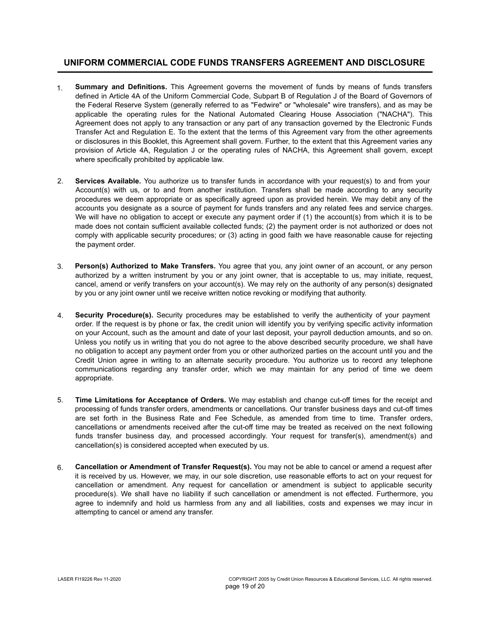## **UNIFORM COMMERCIAL CODE FUNDS TRANSFERS AGREEMENT AND DISCLOSURE**

- **Summary and Definitions.** This Agreement governs the movement of funds by means of funds transfers defined in Article 4A of the Uniform Commercial Code, Subpart B of Regulation J of the Board of Governors of the Federal Reserve System (generally referred to as "Fedwire" or "wholesale" wire transfers), and as may be applicable the operating rules for the National Automated Clearing House Association ("NACHA"). This Agreement does not apply to any transaction or any part of any transaction governed by the Electronic Funds Transfer Act and Regulation E. To the extent that the terms of this Agreement vary from the other agreements or disclosures in this Booklet, this Agreement shall govern. Further, to the extent that this Agreement varies any provision of Article 4A, Regulation J or the operating rules of NACHA, this Agreement shall govern, except where specifically prohibited by applicable law. 1.
- **Services Available.** You authorize us to transfer funds in accordance with your request(s) to and from your Account(s) with us, or to and from another institution. Transfers shall be made according to any security procedures we deem appropriate or as specifically agreed upon as provided herein. We may debit any of the accounts you designate as a source of payment for funds transfers and any related fees and service charges. We will have no obligation to accept or execute any payment order if (1) the account(s) from which it is to be made does not contain sufficient available collected funds; (2) the payment order is not authorized or does not comply with applicable security procedures; or (3) acting in good faith we have reasonable cause for rejecting the payment order. 2.
- **Person(s) Authorized to Make Transfers.** You agree that you, any joint owner of an account, or any person authorized by a written instrument by you or any joint owner, that is acceptable to us, may initiate, request, cancel, amend or verify transfers on your account(s). We may rely on the authority of any person(s) designated by you or any joint owner until we receive written notice revoking or modifying that authority. 3.
- **Security Procedure(s).** Security procedures may be established to verify the authenticity of your payment order. If the request is by phone or fax, the credit union will identify you by verifying specific activity information on your Account, such as the amount and date of your last deposit, your payroll deduction amounts, and so on. Unless you notify us in writing that you do not agree to the above described security procedure, we shall have no obligation to accept any payment order from you or other authorized parties on the account until you and the Credit Union agree in writing to an alternate security procedure. You authorize us to record any telephone communications regarding any transfer order, which we may maintain for any period of time we deem appropriate. 4.
- **Time Limitations for Acceptance of Orders.** We may establish and change cut-off times for the receipt and processing of funds transfer orders, amendments or cancellations. Our transfer business days and cut-off times are set forth in the Business Rate and Fee Schedule, as amended from time to time. Transfer orders, cancellations or amendments received after the cut-off time may be treated as received on the next following funds transfer business day, and processed accordingly. Your request for transfer(s), amendment(s) and cancellation(s) is considered accepted when executed by us. 5.
- **Cancellation or Amendment of Transfer Request(s).** You may not be able to cancel or amend a request after it is received by us. However, we may, in our sole discretion, use reasonable efforts to act on your request for cancellation or amendment. Any request for cancellation or amendment is subject to applicable security procedure(s). We shall have no liability if such cancellation or amendment is not effected. Furthermore, you agree to indemnify and hold us harmless from any and all liabilities, costs and expenses we may incur in attempting to cancel or amend any transfer. 6.